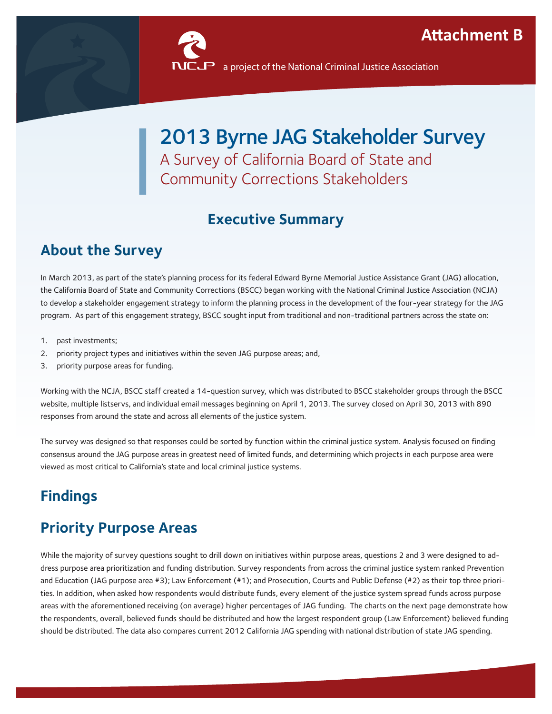

# 2013 Byrne JAG Stakeholder Survey A Survey of California Board of State and Community Corrections Stakeholders

# **Executive Summary**

# **About the Survey**

In March 2013, as part of the state's planning process for its federal Edward Byrne Memorial Justice Assistance Grant (JAG) allocation, the California Board of State and Community Corrections (BSCC) began working with the National Criminal Justice Association (NCJA) to develop a stakeholder engagement strategy to inform the planning process in the development of the four-year strategy for the JAG program. As part of this engagement strategy, BSCC sought input from traditional and non-traditional partners across the state on:

- 1. past investments;
- 2. priority project types and initiatives within the seven JAG purpose areas; and,
- 3. priority purpose areas for funding.

Working with the NCJA, BSCC staff created a 14-question survey, which was distributed to BSCC stakeholder groups through the BSCC website, multiple listservs, and individual email messages beginning on April 1, 2013. The survey closed on April 30, 2013 with 890 responses from around the state and across all elements of the justice system.

The survey was designed so that responses could be sorted by function within the criminal justice system. Analysis focused on finding consensus around the JAG purpose areas in greatest need of limited funds, and determining which projects in each purpose area were viewed as most critical to California's state and local criminal justice systems.

# **Findings**

### **Priority Purpose Areas**

While the majority of survey questions sought to drill down on initiatives within purpose areas, questions 2 and 3 were designed to address purpose area prioritization and funding distribution. Survey respondents from across the criminal justice system ranked Prevention and Education (JAG purpose area #3); Law Enforcement (#1); and Prosecution, Courts and Public Defense (#2) as their top three priorities. In addition, when asked how respondents would distribute funds, every element of the justice system spread funds across purpose areas with the aforementioned receiving (on average) higher percentages of JAG funding. The charts on the next page demonstrate how the respondents, overall, believed funds should be distributed and how the largest respondent group (Law Enforcement) believed funding should be distributed. The data also compares current 2012 California JAG spending with national distribution of state JAG spending.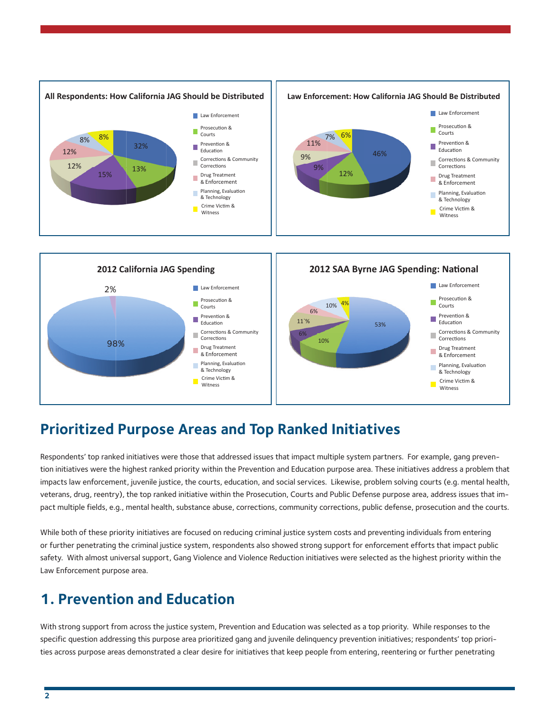



#### **Prioritized Purpose Areas and Top Ranked Initiatives**

Respondents' top ranked initiatives were those that addressed issues that impact multiple system partners. For example, gang prevention initiatives were the highest ranked priority within the Prevention and Education purpose area. These initiatives address a problem that impacts law enforcement, juvenile justice, the courts, education, and social services. Likewise, problem solving courts (e.g. mental health, veterans, drug, reentry), the top ranked initiative within the Prosecution, Courts and Public Defense purpose area, address issues that impact multiple fields, e.g., mental health, substance abuse, corrections, community corrections, public defense, prosecution and the courts.

While both of these priority initiatives are focused on reducing criminal justice system costs and preventing individuals from entering or further penetrating the criminal justice system, respondents also showed strong support for enforcement efforts that impact public safety. With almost universal support, Gang Violence and Violence Reduction initiatives were selected as the highest priority within the Law Enforcement purpose area.

#### **1. Prevention and Education**

With strong support from across the justice system, Prevention and Education was selected as a top priority. While responses to the specific question addressing this purpose area prioritized gang and juvenile delinquency prevention initiatives; respondents' top priorities across purpose areas demonstrated a clear desire for initiatives that keep people from entering, reentering or further penetrating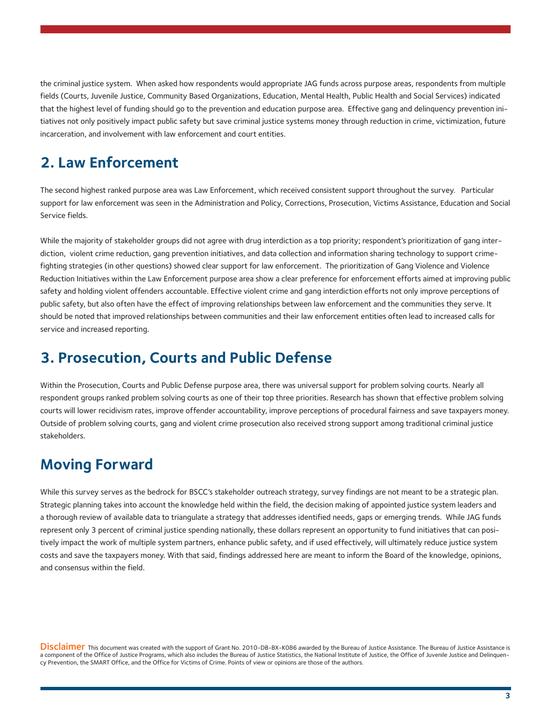the criminal justice system. When asked how respondents would appropriate JAG funds across purpose areas, respondents from multiple fields (Courts, Juvenile Justice, Community Based Organizations, Education, Mental Health, Public Health and Social Services) indicated that the highest level of funding should go to the prevention and education purpose area. Effective gang and delinquency prevention initiatives not only positively impact public safety but save criminal justice systems money through reduction in crime, victimization, future incarceration, and involvement with law enforcement and court entities.

#### **2. Law Enforcement**

The second highest ranked purpose area was Law Enforcement, which received consistent support throughout the survey. Particular support for law enforcement was seen in the Administration and Policy, Corrections, Prosecution, Victims Assistance, Education and Social Service fields.

While the majority of stakeholder groups did not agree with drug interdiction as a top priority; respondent's prioritization of gang interdiction, violent crime reduction, gang prevention initiatives, and data collection and information sharing technology to support crimefighting strategies (in other questions) showed clear support for law enforcement. The prioritization of Gang Violence and Violence Reduction Initiatives within the Law Enforcement purpose area show a clear preference for enforcement efforts aimed at improving public safety and holding violent offenders accountable. Effective violent crime and gang interdiction efforts not only improve perceptions of public safety, but also often have the effect of improving relationships between law enforcement and the communities they serve. It should be noted that improved relationships between communities and their law enforcement entities often lead to increased calls for service and increased reporting.

#### **3. Prosecution, Courts and Public Defense**

Within the Prosecution, Courts and Public Defense purpose area, there was universal support for problem solving courts. Nearly all respondent groups ranked problem solving courts as one of their top three priorities. Research has shown that effective problem solving courts will lower recidivism rates, improve offender accountability, improve perceptions of procedural fairness and save taxpayers money. Outside of problem solving courts, gang and violent crime prosecution also received strong support among traditional criminal justice stakeholders.

#### **Moving Forward**

While this survey serves as the bedrock for BSCC's stakeholder outreach strategy, survey findings are not meant to be a strategic plan. Strategic planning takes into account the knowledge held within the field, the decision making of appointed justice system leaders and a thorough review of available data to triangulate a strategy that addresses identified needs, gaps or emerging trends. While JAG funds represent only 3 percent of criminal justice spending nationally, these dollars represent an opportunity to fund initiatives that can positively impact the work of multiple system partners, enhance public safety, and if used effectively, will ultimately reduce justice system costs and save the taxpayers money. With that said, findings addressed here are meant to inform the Board of the knowledge, opinions, and consensus within the field.

DISCIAIMET This document was created with the support of Grant No. 2010-DB-BX-K086 awarded by the Bureau of Justice Assistance. The Bureau of Justice Assistance is a component of the Office of Justice Programs, which also includes the Bureau of Justice Statistics, the National Institute of Justice, the Office of Juvenile Justice and Delinquency Prevention, the SMART Office, and the Office for Victims of Crime. Points of view or opinions are those of the authors.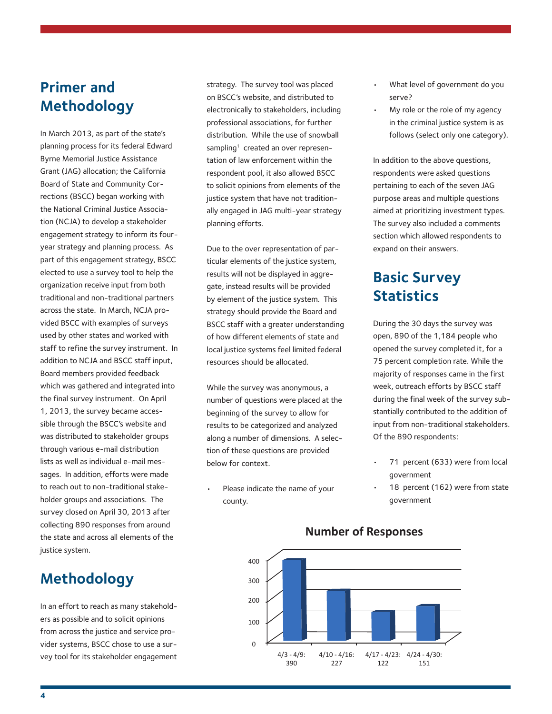### **Primer and Methodology**

In March 2013, as part of the state's planning process for its federal Edward Byrne Memorial Justice Assistance Grant (JAG) allocation; the California Board of State and Community Corrections (BSCC) began working with the National Criminal Justice Association (NCJA) to develop a stakeholder engagement strategy to inform its fouryear strategy and planning process. As part of this engagement strategy, BSCC elected to use a survey tool to help the organization receive input from both traditional and non-traditional partners across the state. In March, NCJA provided BSCC with examples of surveys used by other states and worked with staff to refine the survey instrument. In addition to NCJA and BSCC staff input, Board members provided feedback which was gathered and integrated into the final survey instrument. On April 1, 2013, the survey became accessible through the BSCC's website and was distributed to stakeholder groups through various e-mail distribution lists as well as individual e-mail messages. In addition, efforts were made to reach out to non-traditional stakeholder groups and associations. The survey closed on April 30, 2013 after collecting 890 responses from around the state and across all elements of the justice system.

# **Methodology**

In an effort to reach as many stakeholders as possible and to solicit opinions from across the justice and service provider systems, BSCC chose to use a survey tool for its stakeholder engagement strategy. The survey tool was placed on BSCC's website, and distributed to electronically to stakeholders, including professional associations, for further distribution. While the use of snowball sampling<sup>1</sup> created an over representation of law enforcement within the respondent pool, it also allowed BSCC to solicit opinions from elements of the justice system that have not traditionally engaged in JAG multi-year strategy planning efforts.

Due to the over representation of particular elements of the justice system, results will not be displayed in aggregate, instead results will be provided by element of the justice system. This strategy should provide the Board and BSCC staff with a greater understanding of how different elements of state and local justice systems feel limited federal resources should be allocated.

While the survey was anonymous, a number of questions were placed at the beginning of the survey to allow for results to be categorized and analyzed along a number of dimensions. A selection of these questions are provided below for context.

Please indicate the name of your county.

- What level of government do you serve?
- My role or the role of my agency in the criminal justice system is as follows (select only one category).

In addition to the above questions, respondents were asked questions pertaining to each of the seven JAG purpose areas and multiple questions aimed at prioritizing investment types. The survey also included a comments section which allowed respondents to expand on their answers.

# **Basic Survey Statistics**

During the 30 days the survey was open, 890 of the 1,184 people who opened the survey completed it, for a 75 percent completion rate. While the majority of responses came in the first week, outreach efforts by BSCC staff during the final week of the survey substantially contributed to the addition of input from non-traditional stakeholders. Of the 890 respondents:

- 71 percent (633) were from local government
- 18 percent (162) were from state government



#### **Number of Responses**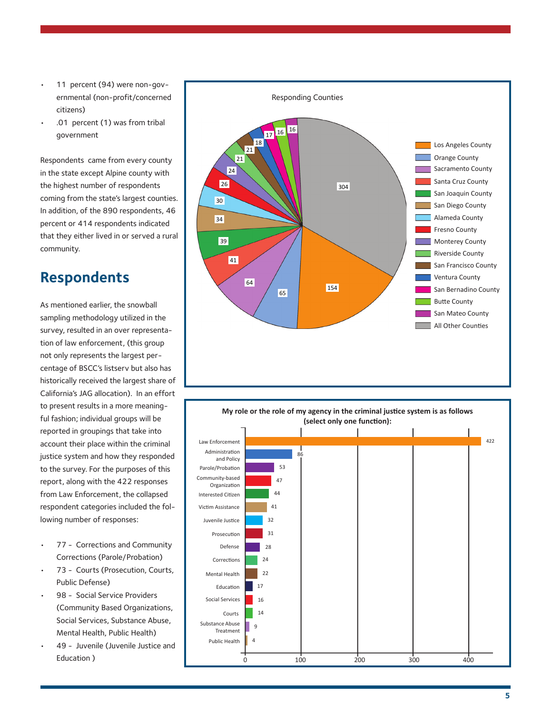- 11 percent (94) were non-governmental (non-profit/concerned citizens)
- .01 percent (1) was from tribal government

Respondents came from every county in the state except Alpine county with the highest number of respondents coming from the state's largest counties. In addition, of the 890 respondents, 46 percent or 414 respondents indicated that they either lived in or served a rural community.

#### **Respondents**

As mentioned earlier, the snowball sampling methodology utilized in the survey, resulted in an over representation of law enforcement, (this group not only represents the largest percentage of BSCC's listserv but also has historically received the largest share of California's JAG allocation). In an effort to present results in a more meaningful fashion; individual groups will be reported in groupings that take into account their place within the criminal justice system and how they responded to the survey. For the purposes of this report, along with the 422 responses from Law Enforcement, the collapsed respondent categories included the following number of responses:

- 77 Corrections and Community Corrections (Parole/Probation)
- 73 Courts (Prosecution, Courts, Public Defense)
- 98 Social Service Providers (Community Based Organizations, Social Services, Substance Abuse, Mental Health, Public Health)
- 49 Juvenile (Juvenile Justice and Education )



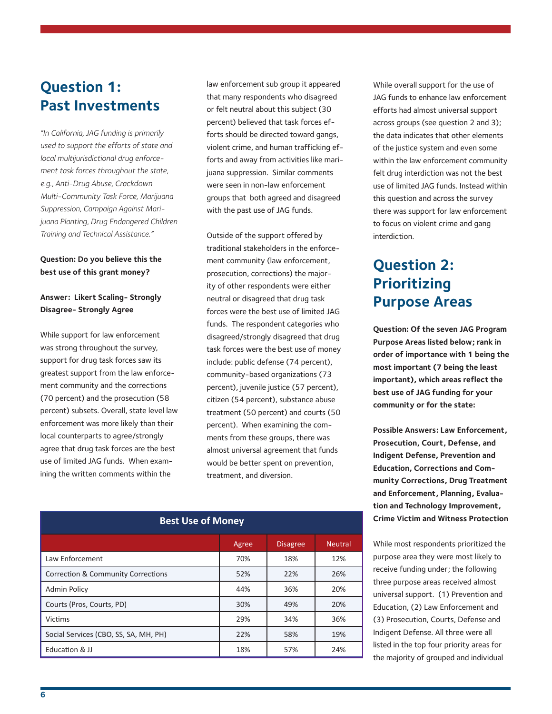# **Question 1: Past Investments**

*"In California, JAG funding is primarily used to support the efforts of state and local multijurisdictional drug enforcement task forces throughout the state, e.g., Anti-Drug Abuse, Crackdown Multi-Community Task Force, Marijuana Suppression, Campaign Against Marijuana Planting, Drug Endangered Children Training and Technical Assistance."*

#### **Question: Do you believe this the best use of this grant money?**

#### **Answer: Likert Scaling- Strongly Disagree- Strongly Agree**

While support for law enforcement was strong throughout the survey, support for drug task forces saw its greatest support from the law enforcement community and the corrections (70 percent) and the prosecution (58 percent) subsets. Overall, state level law enforcement was more likely than their local counterparts to agree/strongly agree that drug task forces are the best use of limited JAG funds. When examining the written comments within the

law enforcement sub group it appeared that many respondents who disagreed or felt neutral about this subject (30 percent) believed that task forces efforts should be directed toward gangs, violent crime, and human trafficking efforts and away from activities like marijuana suppression. Similar comments were seen in non-law enforcement groups that both agreed and disagreed with the past use of JAG funds.

Outside of the support offered by traditional stakeholders in the enforcement community (law enforcement, prosecution, corrections) the majority of other respondents were either neutral or disagreed that drug task forces were the best use of limited JAG funds. The respondent categories who disagreed/strongly disagreed that drug task forces were the best use of money include: public defense (74 percent), community-based organizations (73 percent), juvenile justice (57 percent), citizen (54 percent), substance abuse treatment (50 percent) and courts (50 percent). When examining the comments from these groups, there was almost universal agreement that funds would be better spent on prevention, treatment, and diversion.

| <b>Best Use of Money</b>                      |       |                 |                |  |
|-----------------------------------------------|-------|-----------------|----------------|--|
|                                               | Agree | <b>Disagree</b> | <b>Neutral</b> |  |
| Law Enforcement                               | 70%   | 18%             | 12%            |  |
| <b>Correction &amp; Community Corrections</b> | 52%   | 22%             | 26%            |  |
| <b>Admin Policy</b>                           | 44%   | 36%             | 20%            |  |
| Courts (Pros, Courts, PD)                     | 30%   | 49%             | 20%            |  |
| <b>Victims</b>                                | 29%   | 34%             | 36%            |  |
| Social Services (CBO, SS, SA, MH, PH)         | 22%   | 58%             | 19%            |  |
| Education & JJ                                | 18%   | 57%             | 24%            |  |

While overall support for the use of JAG funds to enhance law enforcement efforts had almost universal support across groups (see question 2 and 3); the data indicates that other elements of the justice system and even some within the law enforcement community felt drug interdiction was not the best use of limited JAG funds. Instead within this question and across the survey there was support for law enforcement to focus on violent crime and gang interdiction.

# **Question 2: Prioritizing Purpose Areas**

**Question: Of the seven JAG Program Purpose Areas listed below; rank in order of importance with 1 being the most important (7 being the least important), which areas reflect the best use of JAG funding for your community or for the state:**

**Possible Answers: Law Enforcement, Prosecution, Court, Defense, and Indigent Defense, Prevention and Education, Corrections and Community Corrections, Drug Treatment and Enforcement, Planning, Evaluation and Technology Improvement, Crime Victim and Witness Protection**

While most respondents prioritized the purpose area they were most likely to receive funding under; the following three purpose areas received almost universal support. (1) Prevention and Education, (2) Law Enforcement and (3) Prosecution, Courts, Defense and Indigent Defense. All three were all listed in the top four priority areas for the majority of grouped and individual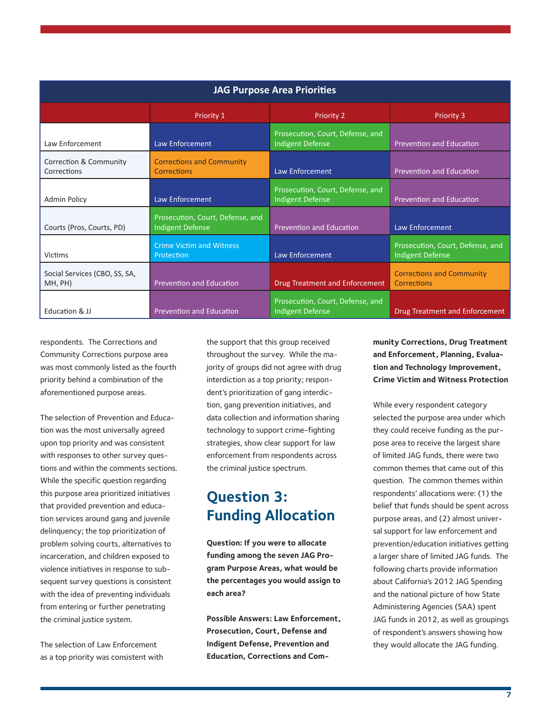| <b>JAG Purpose Area Priorities</b>       |                                                      |                                                      |                                                             |
|------------------------------------------|------------------------------------------------------|------------------------------------------------------|-------------------------------------------------------------|
|                                          | Priority 1                                           | <b>Priority 2</b>                                    | <b>Priority 3</b>                                           |
| Law Enforcement                          | Law Enforcement                                      | Prosecution, Court, Defense, and<br>Indigent Defense | <b>Prevention and Education</b>                             |
| Correction & Community<br>Corrections    | <b>Corrections and Community</b><br>Corrections      | Law Enforcement                                      | <b>Prevention and Education</b>                             |
| <b>Admin Policy</b>                      | Law Enforcement                                      | Prosecution, Court, Defense, and<br>Indigent Defense | <b>Prevention and Education</b>                             |
| Courts (Pros, Courts, PD)                | Prosecution, Court, Defense, and<br>Indigent Defense | <b>Prevention and Education</b>                      | Law Enforcement                                             |
| <b>Victims</b>                           | <b>Crime Victim and Witness</b><br>Protection        | Law Enforcement                                      | Prosecution, Court, Defense, and<br><b>Indigent Defense</b> |
| Social Services (CBO, SS, SA,<br>MH, PH) | <b>Prevention and Education</b>                      | <b>Drug Treatment and Enforcement</b>                | <b>Corrections and Community</b><br>Corrections             |
| Education & JJ                           | <b>Prevention and Education</b>                      | Prosecution, Court, Defense, and<br>Indigent Defense | <b>Drug Treatment and Enforcement</b>                       |

respondents. The Corrections and Community Corrections purpose area was most commonly listed as the fourth priority behind a combination of the aforementioned purpose areas.

The selection of Prevention and Education was the most universally agreed upon top priority and was consistent with responses to other survey questions and within the comments sections. While the specific question regarding this purpose area prioritized initiatives that provided prevention and education services around gang and juvenile delinquency; the top prioritization of problem solving courts, alternatives to incarceration, and children exposed to violence initiatives in response to subsequent survey questions is consistent with the idea of preventing individuals from entering or further penetrating the criminal justice system.

The selection of Law Enforcement as a top priority was consistent with the support that this group received throughout the survey. While the majority of groups did not agree with drug interdiction as a top priority; respondent's prioritization of gang interdiction, gang prevention initiatives, and data collection and information sharing technology to support crime-fighting strategies, show clear support for law enforcement from respondents across the criminal justice spectrum.

# **Question 3: Funding Allocation**

**Question: If you were to allocate funding among the seven JAG Program Purpose Areas, what would be the percentages you would assign to each area?** 

**Possible Answers: Law Enforcement, Prosecution, Court, Defense and Indigent Defense, Prevention and Education, Corrections and Com-** **munity Corrections, Drug Treatment and Enforcement, Planning, Evaluation and Technology Improvement, Crime Victim and Witness Protection**

While every respondent category selected the purpose area under which they could receive funding as the purpose area to receive the largest share of limited JAG funds, there were two common themes that came out of this question. The common themes within respondents' allocations were: (1) the belief that funds should be spent across purpose areas, and (2) almost universal support for law enforcement and prevention/education initiatives getting a larger share of limited JAG funds. The following charts provide information about California's 2012 JAG Spending and the national picture of how State Administering Agencies (SAA) spent JAG funds in 2012, as well as groupings of respondent's answers showing how they would allocate the JAG funding.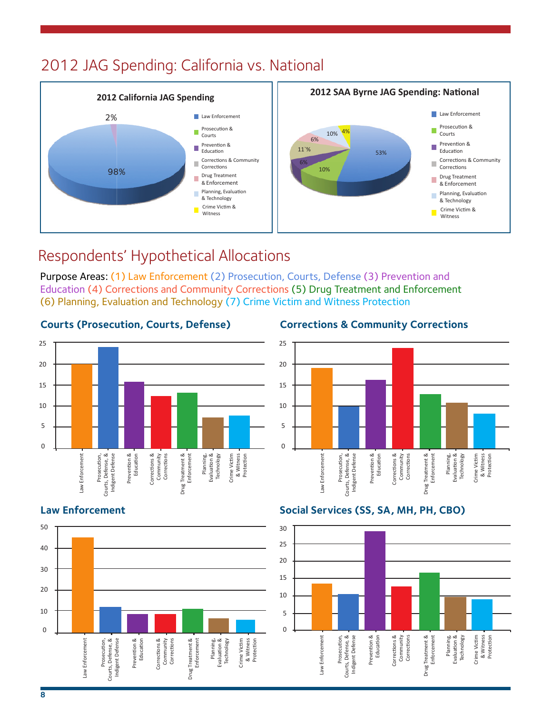# 2012 JAG Spending: California vs. National



# Respondents' Hypothetical Allocations

Purpose Areas: (1) Law Enforcement (2) Prosecution, Courts, Defense (3) Prevention and Education (4) Corrections and Community Corrections (5) Drug Treatment and Enforcement (6) Planning, Evaluation and Technology (7) Crime Victim and Witness Protection

#### **Courts (Prosecution, Courts, Defense) Corrections & Community Corrections**







#### **Law Enforcement Social Services (SS, SA, MH, PH, CBO)**

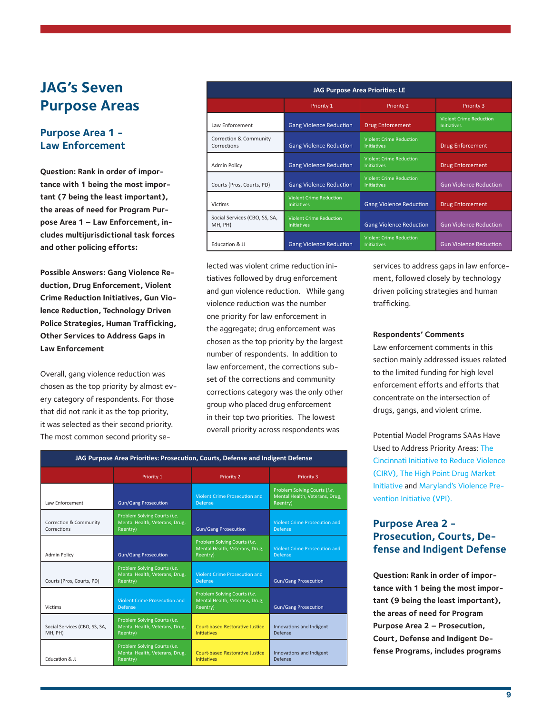### **JAG's Seven Purpose Areas**

#### **Purpose Area 1 - Law Enforcement**

**Question: Rank in order of importance with 1 being the most important (7 being the least important), the areas of need for Program Purpose Area 1 – Law Enforcement, includes multijurisdictional task forces and other policing efforts:** 

**Possible Answers: Gang Violence Reduction, Drug Enforcement, Violent Crime Reduction Initiatives, Gun Violence Reduction, Technology Driven Police Strategies, Human Trafficking, Other Services to Address Gaps in Law Enforcement**

Overall, gang violence reduction was chosen as the top priority by almost every category of respondents. For those that did not rank it as the top priority, it was selected as their second priority. The most common second priority se-

| <b>JAG Purpose Area Priorities: LE</b>   |                                                      |                                                      |                                                      |
|------------------------------------------|------------------------------------------------------|------------------------------------------------------|------------------------------------------------------|
|                                          | Priority 1                                           | <b>Priority 2</b>                                    | Priority 3                                           |
| Law Enforcement                          | <b>Gang Violence Reduction</b>                       | <b>Drug Enforcement</b>                              | <b>Violent Crime Reduction</b><br><b>Initiatives</b> |
| Correction & Community<br>Corrections    | <b>Gang Violence Reduction</b>                       | <b>Violent Crime Reduction</b><br><b>Initiatives</b> | <b>Drug Enforcement</b>                              |
| <b>Admin Policy</b>                      | <b>Gang Violence Reduction</b>                       | <b>Violent Crime Reduction</b><br><b>Initiatives</b> | Drug Enforcement                                     |
| Courts (Pros, Courts, PD)                | <b>Gang Violence Reduction</b>                       | <b>Violent Crime Reduction</b><br><b>Initiatives</b> | <b>Gun Violence Reduction</b>                        |
| Victims                                  | <b>Violent Crime Reduction</b><br><b>Initiatives</b> | <b>Gang Violence Reduction</b>                       | <b>Drug Enforcement</b>                              |
| Social Services (CBO, SS, SA,<br>MH, PH) | <b>Violent Crime Reduction</b><br><b>Initiatives</b> | <b>Gang Violence Reduction</b>                       | <b>Gun Violence Reduction</b>                        |
| Education & JJ                           | <b>Gang Violence Reduction</b>                       | <b>Violent Crime Reduction</b><br><b>Initiatives</b> | <b>Gun Violence Reduction</b>                        |

lected was violent crime reduction initiatives followed by drug enforcement and gun violence reduction. While gang violence reduction was the number one priority for law enforcement in the aggregate; drug enforcement was chosen as the top priority by the largest number of respondents. In addition to law enforcement, the corrections subset of the corrections and community corrections category was the only other group who placed drug enforcement in their top two priorities. The lowest overall priority across respondents was

| JAG Purpose Area Priorities: Prosecution, Courts, Defense and Indigent Defense |                                                                            |                                                                            |                                                                            |
|--------------------------------------------------------------------------------|----------------------------------------------------------------------------|----------------------------------------------------------------------------|----------------------------------------------------------------------------|
|                                                                                | Priority 1                                                                 | <b>Priority 2</b>                                                          | Priority 3                                                                 |
| Law Enforcement                                                                | <b>Gun/Gang Prosecution</b>                                                | <b>Violent Crime Prosecution and</b><br><b>Defense</b>                     | Problem Solving Courts (i.e.<br>Mental Health, Veterans, Drug,<br>Reentry) |
| Correction & Community<br>Corrections                                          | Problem Solving Courts (i.e.<br>Mental Health, Veterans, Drug,<br>Reentry) | <b>Gun/Gang Prosecution</b>                                                | Violent Crime Prosecution and<br>Defense                                   |
| <b>Admin Policy</b>                                                            | <b>Gun/Gang Prosecution</b>                                                | Problem Solving Courts (i.e.<br>Mental Health, Veterans, Drug,<br>Reentry) | <b>Violent Crime Prosecution and</b><br><b>Defense</b>                     |
| Courts (Pros, Courts, PD)                                                      | Problem Solving Courts (i.e.<br>Mental Health, Veterans, Drug,<br>Reentry) | <b>Violent Crime Prosecution and</b><br><b>Defense</b>                     | <b>Gun/Gang Prosecution</b>                                                |
| Victims                                                                        | <b>Violent Crime Prosecution and</b><br><b>Defense</b>                     | Problem Solving Courts (i.e.<br>Mental Health, Veterans, Drug,<br>Reentry) | <b>Gun/Gang Prosecution</b>                                                |
| Social Services (CBO, SS, SA,<br>MH, PH)                                       | Problem Solving Courts (i.e.<br>Mental Health, Veterans, Drug,<br>Reentry) | Court-based Restorative Justice<br><b>Initiatives</b>                      | Innovations and Indigent<br>Defense                                        |
| Education & JJ                                                                 | Problem Solving Courts (i.e.<br>Mental Health, Veterans, Drug,<br>Reentry) | <b>Court-based Restorative Justice</b><br><b>Initiatives</b>               | Innovations and Indigent<br>Defense                                        |

services to address gaps in law enforcement, followed closely by technology driven policing strategies and human trafficking.

#### **Respondents' Comments**

Law enforcement comments in this section mainly addressed issues related to the limited funding for high level enforcement efforts and efforts that concentrate on the intersection of drugs, gangs, and violent crime.

Potential Model Programs SAAs Have Used to Address Priority Areas: The [Cincinnati Initiative to Reduce Violence](http://www.cincinnati-oh.gov/police/community-involvement/cincinnati-initiative-to-reduce-violence/)  [\(CIRV\)](http://www.cincinnati-oh.gov/police/community-involvement/cincinnati-initiative-to-reduce-violence/), [The High Point Drug Market](http://www.dmimsu.com/)  [Initiative](http://www.dmimsu.com/) and [Maryland's Violence Pre](http://www.goccp.maryland.gov/msac/documents/FactSheets/VPI.pdf)[vention Initiative \(VPI\).](http://www.goccp.maryland.gov/msac/documents/FactSheets/VPI.pdf)

#### **Purpose Area 2 - Prosecution, Courts, Defense and Indigent Defense**

**Question: Rank in order of importance with 1 being the most important (9 being the least important), the areas of need for Program Purpose Area 2 – Prosecution, Court, Defense and Indigent Defense Programs, includes programs**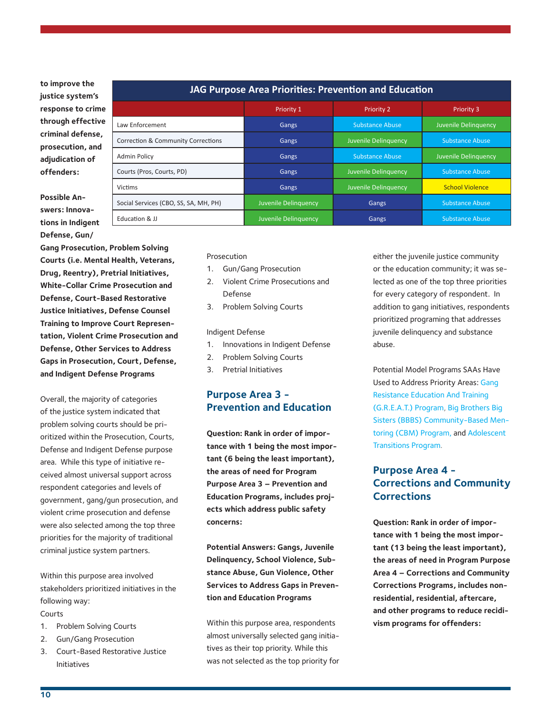**to improve the justice system's response to crime through effective criminal defense, prosecution, and adjudication of offenders:**

#### **JAG Purpose Area Priorities: Prevention and Education** Priority 1 **Priority 2** Priority 2 Priority 3 Law Enforcement Communication Communication Cangs Substance Abuse Juvenile Delinquency **Correction & Community Corrections Cangs** Gangs Juvenile Delinquency Substance Abuse Admin Policy **Substance Abuse Juvenile Delinquency** Gangs Substance Abuse Juvenile Delinquency **Courts (Pros, Courts, PD)** Gangs Gangs Juvenile Delinquency Substance Abuse Victims Gangs Juvenile Delinquency Conservation Conservation Conservation Conservation Conservation Conservatio Social Services (CBO, SS, SA, MH, PH) Juvenile Delinquency Gangs Substance Abuse Education & JJ **Substance Abuse** Juvenile Delinquency **Gangs** Gangs Substance Abuse

**Possible Answers: Innovations in Indigent Defense, Gun/**

**Gang Prosecution, Problem Solving Courts (i.e. Mental Health, Veterans, Drug, Reentry), Pretrial Initiatives, White-Collar Crime Prosecution and Defense, Court-Based Restorative Justice Initiatives, Defense Counsel Training to Improve Court Representation, Violent Crime Prosecution and Defense, Other Services to Address Gaps in Prosecution, Court, Defense, and Indigent Defense Programs**

Overall, the majority of categories of the justice system indicated that problem solving courts should be prioritized within the Prosecution, Courts, Defense and Indigent Defense purpose area. While this type of initiative received almost universal support across respondent categories and levels of government, gang/gun prosecution, and violent crime prosecution and defense were also selected among the top three priorities for the majority of traditional criminal justice system partners.

Within this purpose area involved stakeholders prioritized initiatives in the following way:

#### Courts

- 1. Problem Solving Courts
- 2. Gun/Gang Prosecution
- 3. Court-Based Restorative Justice Initiatives

#### Prosecution

- 1. Gun/Gang Prosecution
- 2. Violent Crime Prosecutions and Defense
- 3. Problem Solving Courts

#### Indigent Defense

- 1. Innovations in Indigent Defense
- 2. Problem Solving Courts
- 3. Pretrial Initiatives

#### **Purpose Area 3 - Prevention and Education**

**Question: Rank in order of importance with 1 being the most important (6 being the least important), the areas of need for Program Purpose Area 3 – Prevention and Education Programs, includes projects which address public safety concerns:**

**Potential Answers: Gangs, Juvenile Delinquency, School Violence, Substance Abuse, Gun Violence, Other Services to Address Gaps in Prevention and Education Programs**

Within this purpose area, respondents almost universally selected gang initiatives as their top priority. While this was not selected as the top priority for

either the juvenile justice community or the education community; it was selected as one of the top three priorities for every category of respondent. In addition to gang initiatives, respondents prioritized programing that addresses juvenile delinquency and substance abuse.

Potential Model Programs SAAs Have Used to Address Priority Areas: [Gang](https://www.bja.gov/ProgramDetails.aspx?Program_ID=62)  [Resistance Education And Training](https://www.bja.gov/ProgramDetails.aspx?Program_ID=62)  [\(G.R.E.A.T.\) Program](https://www.bja.gov/ProgramDetails.aspx?Program_ID=62), [Big Brothers Big](http://www.crimesolutions.gov/ProgramDetails.aspx?ID=112)  [Sisters \(BBBS\) Community-Based Men](http://www.crimesolutions.gov/ProgramDetails.aspx?ID=112)[toring \(CBM\) Program,](http://www.crimesolutions.gov/ProgramDetails.aspx?ID=112) and [Adolescent](http://www.crimesolutions.gov/ProgramDetails.aspx?ID=289)  [Transitions Program.](http://www.crimesolutions.gov/ProgramDetails.aspx?ID=289)

#### **Purpose Area 4 - Corrections and Community Corrections**

**Question: Rank in order of importance with 1 being the most important (13 being the least important), the areas of need in Program Purpose Area 4 – Corrections and Community Corrections Programs, includes nonresidential, residential, aftercare, and other programs to reduce recidivism programs for offenders:**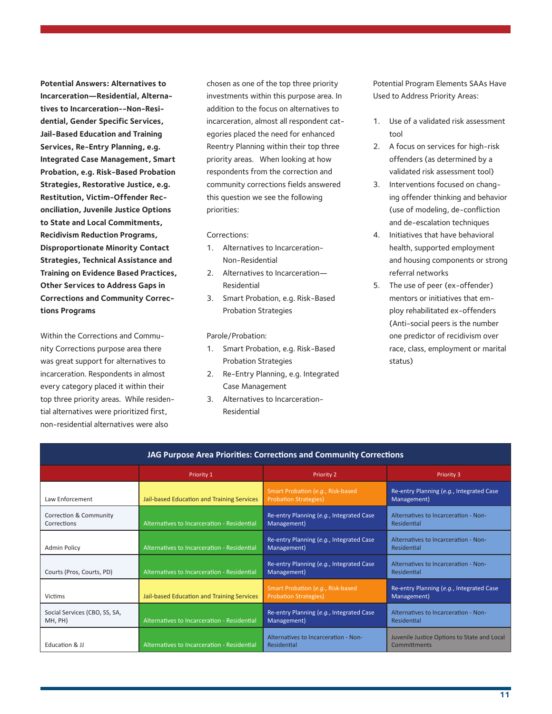**Potential Answers: Alternatives to Incarceration—Residential, Alternatives to Incarceration--Non-Residential, Gender Specific Services, Jail-Based Education and Training Services, Re-Entry Planning, e.g. Integrated Case Management, Smart Probation, e.g. Risk-Based Probation Strategies, Restorative Justice, e.g. Restitution, Victim-Offender Reconciliation, Juvenile Justice Options to State and Local Commitments, Recidivism Reduction Programs, Disproportionate Minority Contact Strategies, Technical Assistance and Training on Evidence Based Practices, Other Services to Address Gaps in Corrections and Community Corrections Programs**

Within the Corrections and Community Corrections purpose area there was great support for alternatives to incarceration. Respondents in almost every category placed it within their top three priority areas. While residential alternatives were prioritized first, non-residential alternatives were also

chosen as one of the top three priority investments within this purpose area. In addition to the focus on alternatives to incarceration, almost all respondent categories placed the need for enhanced Reentry Planning within their top three priority areas. When looking at how respondents from the correction and community corrections fields answered this question we see the following priorities:

Corrections:

- 1. Alternatives to Incarceration-Non-Residential
- 2. Alternatives to Incarceration— Residential
- 3. Smart Probation, e.g. Risk-Based Probation Strategies

Parole/Probation:

- 1. Smart Probation, e.g. Risk-Based Probation Strategies
- 2. Re-Entry Planning, e.g. Integrated Case Management
- 3. Alternatives to Incarceration-Residential

Potential Program Elements SAAs Have Used to Address Priority Areas:

- 1. Use of a validated risk assessment tool
- 2. A focus on services for high-risk offenders (as determined by a validated risk assessment tool)
- 3. Interventions focused on changing offender thinking and behavior (use of modeling, de-confliction and de-escalation techniques
- 4. Initiatives that have behavioral health, supported employment and housing components or strong referral networks
- 5. The use of peer (ex-offender) mentors or initiatives that employ rehabilitated ex-offenders (Anti-social peers is the number one predictor of recidivism over race, class, employment or marital status)

| JAG Purpose Area Priorities: Corrections and Community Corrections |                                             |                                                                   |                                                             |
|--------------------------------------------------------------------|---------------------------------------------|-------------------------------------------------------------------|-------------------------------------------------------------|
|                                                                    | Priority 1                                  | <b>Priority 2</b>                                                 | Priority 3                                                  |
| Law Enforcement                                                    | Jail-based Education and Training Services  | Smart Probation (e.g., Risk-based<br><b>Probation Strategies)</b> | Re-entry Planning (e.g., Integrated Case<br>Management)     |
| Correction & Community<br>Corrections                              | Alternatives to Incarceration - Residential | Re-entry Planning (e.g., Integrated Case<br>Management)           | Alternatives to Incarceration - Non-<br>Residential         |
| <b>Admin Policy</b>                                                | Alternatives to Incarceration - Residential | Re-entry Planning (e.g., Integrated Case<br>Management)           | Alternatives to Incarceration - Non-<br>Residential         |
| Courts (Pros, Courts, PD)                                          | Alternatives to Incarceration - Residential | Re-entry Planning (e.g., Integrated Case<br>Management)           | Alternatives to Incarceration - Non-<br>Residential         |
| Victims                                                            | Jail-based Education and Training Services  | Smart Probation (e.g., Risk-based<br><b>Probation Strategies)</b> | Re-entry Planning (e.g., Integrated Case<br>Management)     |
| Social Services (CBO, SS, SA,<br>MH, PH)                           | Alternatives to Incarceration - Residential | Re-entry Planning (e.g., Integrated Case<br>Management)           | Alternatives to Incarceration - Non-<br>Residential         |
| Education & JJ                                                     | Alternatives to Incarceration - Residential | Alternatives to Incarceration - Non-<br>Residential               | Juvenile Justice Options to State and Local<br>Committments |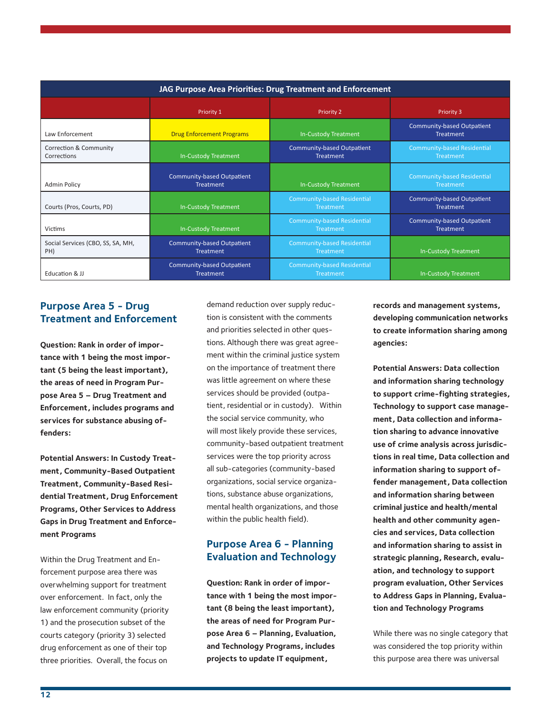| JAG Purpose Area Priorities: Drug Treatment and Enforcement |                                                       |                                                       |                                                        |
|-------------------------------------------------------------|-------------------------------------------------------|-------------------------------------------------------|--------------------------------------------------------|
|                                                             | Priority 1                                            | <b>Priority 2</b>                                     | Priority 3                                             |
| Law Enforcement                                             | <b>Drug Enforcement Programs</b>                      | In-Custody Treatment                                  | <b>Community-based Outpatient</b><br><b>Treatment</b>  |
| Correction & Community<br>Corrections                       | In-Custody Treatment                                  | <b>Community-based Outpatient</b><br><b>Treatment</b> | <b>Community-based Residential</b><br>Treatment        |
| <b>Admin Policy</b>                                         | Community-based Outpatient<br><b>Treatment</b>        | <b>In-Custody Treatment</b>                           | <b>Community-based Residential</b><br><b>Treatment</b> |
| Courts (Pros, Courts, PD)                                   | <b>In-Custody Treatment</b>                           | <b>Community-based Residential</b><br>Treatment       | <b>Community-based Outpatient</b><br>Treatment         |
| <b>Victims</b>                                              | In-Custody Treatment                                  | <b>Community-based Residential</b><br>Treatment       | <b>Community-based Outpatient</b><br><b>Treatment</b>  |
| Social Services (CBO, SS, SA, MH,<br>PH)                    | <b>Community-based Outpatient</b><br><b>Treatment</b> | <b>Community-based Residential</b><br>Treatment       | In-Custody Treatment                                   |
| Education & JJ                                              | <b>Community-based Outpatient</b><br><b>Treatment</b> | <b>Community-based Residential</b><br>Treatment       | In-Custody Treatment                                   |

#### **Purpose Area 5 - Drug Treatment and Enforcement**

**Question: Rank in order of importance with 1 being the most important (5 being the least important), the areas of need in Program Purpose Area 5 – Drug Treatment and Enforcement, includes programs and services for substance abusing offenders:**

**Potential Answers: In Custody Treatment, Community-Based Outpatient Treatment, Community-Based Residential Treatment, Drug Enforcement Programs, Other Services to Address Gaps in Drug Treatment and Enforcement Programs**

Within the Drug Treatment and Enforcement purpose area there was overwhelming support for treatment over enforcement. In fact, only the law enforcement community (priority 1) and the prosecution subset of the courts category (priority 3) selected drug enforcement as one of their top three priorities. Overall, the focus on

demand reduction over supply reduction is consistent with the comments and priorities selected in other questions. Although there was great agreement within the criminal justice system on the importance of treatment there was little agreement on where these services should be provided (outpatient, residential or in custody). Within the social service community, who will most likely provide these services, community-based outpatient treatment services were the top priority across all sub-categories (community-based organizations, social service organizations, substance abuse organizations, mental health organizations, and those within the public health field).

#### **Purpose Area 6 - Planning Evaluation and Technology**

**Question: Rank in order of importance with 1 being the most important (8 being the least important), the areas of need for Program Purpose Area 6 – Planning, Evaluation, and Technology Programs, includes projects to update IT equipment,** 

**records and management systems, developing communication networks to create information sharing among agencies:**

**Potential Answers: Data collection and information sharing technology to support crime-fighting strategies, Technology to support case management, Data collection and information sharing to advance innovative use of crime analysis across jurisdictions in real time, Data collection and information sharing to support offender management, Data collection and information sharing between criminal justice and health/mental health and other community agencies and services, Data collection and information sharing to assist in strategic planning, Research, evaluation, and technology to support program evaluation, Other Services to Address Gaps in Planning, Evaluation and Technology Programs**

While there was no single category that was considered the top priority within this purpose area there was universal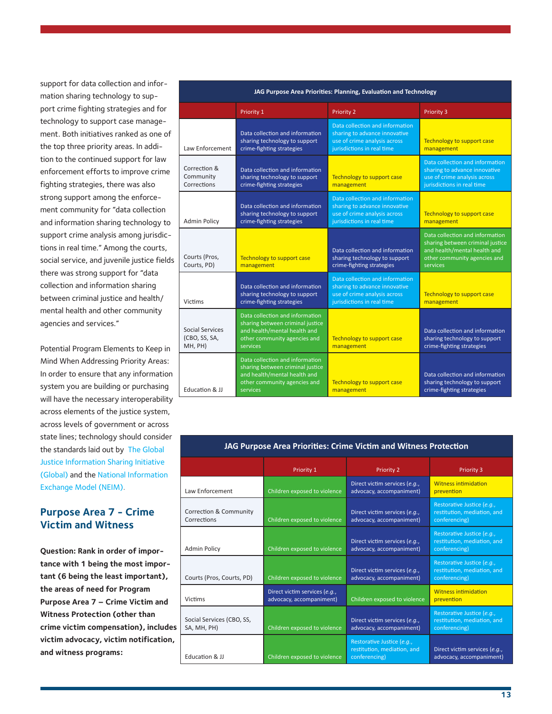support for data collection and information sharing technology to support crime fighting strategies and for technology to support case management. Both initiatives ranked as one of the top three priority areas. In addition to the continued support for law enforcement efforts to improve crime fighting strategies, there was also strong support among the enforcement community for "data collection and information sharing technology to support crime analysis among jurisdictions in real time." Among the courts, social service, and juvenile justice fields there was strong support for "data collection and information sharing between criminal justice and health/ mental health and other community agencies and services."

Potential Program Elements to Keep in Mind When Addressing Priority Areas: In order to ensure that any information system you are building or purchasing will have the necessary interoperability across elements of the justice system, across levels of government or across state lines; technology should consider the standards laid out by [The Global](https://it.ojp.gov/default.aspx?area=GIST&page=2363)  [Justice Information Sharing Initiative](https://it.ojp.gov/default.aspx?area=GIST&page=2363)  [\(Global\)](https://it.ojp.gov/default.aspx?area=GIST&page=2363) and the [National Information](https://www.niem.gov/aboutniem/Pages/niem.aspx)  [Exchange Model \(NEIM\).](https://www.niem.gov/aboutniem/Pages/niem.aspx)

#### **Purpose Area 7 - Crime Victim and Witness**

**Question: Rank in order of importance with 1 being the most important (6 being the least important), the areas of need for Program Purpose Area 7 – Crime Victim and Witness Protection (other than crime victim compensation), includes victim advocacy, victim notification, and witness programs:**

| JAG Purpose Area Priorities: Planning, Evaluation and Technology |                                                                                                                                                 |                                                                                                                                |                                                                                                                                                 |
|------------------------------------------------------------------|-------------------------------------------------------------------------------------------------------------------------------------------------|--------------------------------------------------------------------------------------------------------------------------------|-------------------------------------------------------------------------------------------------------------------------------------------------|
|                                                                  | Priority 1                                                                                                                                      | <b>Priority 2</b>                                                                                                              | Priority 3                                                                                                                                      |
| Law Enforcement                                                  | Data collection and information<br>sharing technology to support<br>crime-fighting strategies                                                   | Data collection and information<br>sharing to advance innovative<br>use of crime analysis across<br>jurisdictions in real time | Technology to support case<br>management                                                                                                        |
| Correction &<br>Community<br>Corrections                         | Data collection and information<br>sharing technology to support<br>crime-fighting strategies                                                   | Technology to support case<br>management                                                                                       | Data collection and information<br>sharing to advance innovative<br>use of crime analysis across<br>jurisdictions in real time                  |
| <b>Admin Policy</b>                                              | Data collection and information<br>sharing technology to support<br>crime-fighting strategies                                                   | Data collection and information<br>sharing to advance innovative<br>use of crime analysis across<br>jurisdictions in real time | Technology to support case<br>management                                                                                                        |
| Courts (Pros,<br>Courts, PD)                                     | Technology to support case<br>management                                                                                                        | Data collection and information<br>sharing technology to support<br>crime-fighting strategies                                  | Data collection and information<br>sharing between criminal justice<br>and health/mental health and<br>other community agencies and<br>services |
| Victims                                                          | Data collection and information<br>sharing technology to support<br>crime-fighting strategies                                                   | Data collection and information<br>sharing to advance innovative<br>use of crime analysis across<br>jurisdictions in real time | Technology to support case<br>management                                                                                                        |
| Social Services<br>(CBO, SS, SA,<br>MH, PH)                      | Data collection and information<br>sharing between criminal justice<br>and health/mental health and<br>other community agencies and<br>services | Technology to support case<br>management                                                                                       | Data collection and information<br>sharing technology to support<br>crime-fighting strategies                                                   |
| Education & JJ                                                   | Data collection and information<br>sharing between criminal justice<br>and health/mental health and<br>other community agencies and<br>services | Technology to support case<br>management                                                                                       | Data collection and information<br>sharing technology to support<br>crime-fighting strategies                                                   |

| <b>AU Furpose Area Friorities. Crime Victim and Witness Frotection</b> |                                                           |                                                                            |                                                                            |
|------------------------------------------------------------------------|-----------------------------------------------------------|----------------------------------------------------------------------------|----------------------------------------------------------------------------|
|                                                                        | Priority 1                                                | <b>Priority 2</b>                                                          | <b>Priority 3</b>                                                          |
| Law Enforcement                                                        | Children exposed to violence                              | Direct victim services (e.g.,<br>advocacy, accompaniment)                  | <b>Witness intimidation</b><br>prevention                                  |
| Correction & Community<br>Corrections                                  | Children exposed to violence                              | Direct victim services (e.g.,<br>advocacy, accompaniment)                  | Restorative Justice (e.g.,<br>restitution, mediation, and<br>conferencing) |
| <b>Admin Policy</b>                                                    | Children exposed to violence                              | Direct victim services (e.g.,<br>advocacy, accompaniment)                  | Restorative Justice (e.g.,<br>restitution, mediation, and<br>conferencing) |
| Courts (Pros, Courts, PD)                                              | Children exposed to violence                              | Direct victim services (e.g.,<br>advocacy, accompaniment)                  | Restorative Justice (e.g.,<br>restitution, mediation, and<br>conferencing) |
| <b>Victims</b>                                                         | Direct victim services (e.g.,<br>advocacy, accompaniment) | Children exposed to violence                                               | <b>Witness intimidation</b><br>prevention                                  |
| Social Services (CBO, SS,<br>SA, MH, PH)                               | Children exposed to violence                              | Direct victim services (e.g.,<br>advocacy, accompaniment)                  | Restorative Justice (e.g.,<br>restitution, mediation, and<br>conferencing) |
| Education & JJ                                                         | Children exposed to violence                              | Restorative Justice (e.g.,<br>restitution, mediation, and<br>conferencing) | Direct victim services (e.g.,<br>advocacy, accompaniment)                  |

#### **JAG Purpose Area Priorities: Crime Victim and Witness Protection**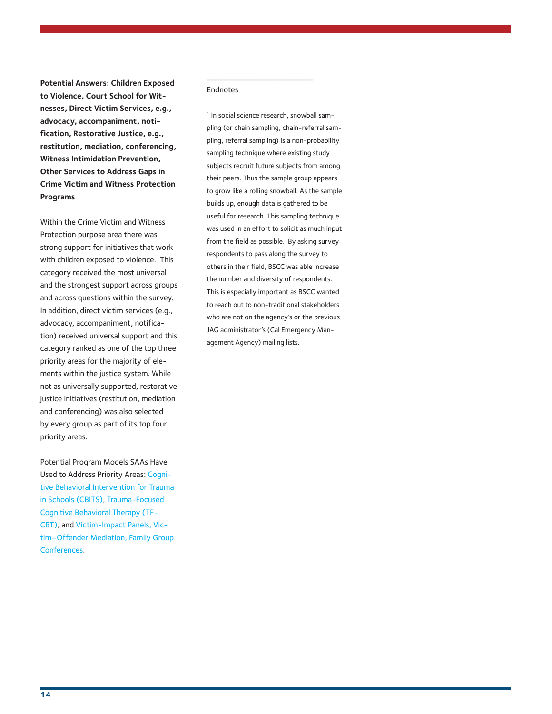**Potential Answers: Children Exposed to Violence, Court School for Witnesses, Direct Victim Services, e.g., advocacy, accompaniment, notification, Restorative Justice, e.g., restitution, mediation, conferencing, Witness Intimidation Prevention, Other Services to Address Gaps in Crime Victim and Witness Protection Programs** 

Within the Crime Victim and Witness Protection purpose area there was strong support for initiatives that work with children exposed to violence. This category received the most universal and the strongest support across groups and across questions within the survey. In addition, direct victim services (e.g., advocacy, accompaniment, notification) received universal support and this category ranked as one of the top three priority areas for the majority of elements within the justice system. While not as universally supported, restorative justice initiatives (restitution, mediation and conferencing) was also selected by every group as part of its top four priority areas.

Potential Program Models SAAs Have Used to Address Priority Areas: [Cogni](https://www.crimesolutions.gov/ProgramDetails.aspx?ID=139)[tive Behavioral Intervention for Trauma](https://www.crimesolutions.gov/ProgramDetails.aspx?ID=139)  [in Schools \(CBITS\)](https://www.crimesolutions.gov/ProgramDetails.aspx?ID=139), [Trauma-Focused](https://www.crimesolutions.gov/ProgramDetails.aspx?ID=195)  [Cognitive Behavioral Therapy \(TF–](https://www.crimesolutions.gov/ProgramDetails.aspx?ID=195) [CBT\),](https://www.crimesolutions.gov/ProgramDetails.aspx?ID=195) and [Victim-Impact Panels, Vic](http://www.ojjdp.gov/mpg/progTypesRestorative.aspx)[tim–Offender Mediation, Family Group](http://www.ojjdp.gov/mpg/progTypesRestorative.aspx)  [Conferences](http://www.ojjdp.gov/mpg/progTypesRestorative.aspx).

#### Endnotes

\_\_\_\_\_\_\_\_\_\_\_\_\_\_\_\_\_\_\_\_\_\_\_\_\_\_\_

<sup>1</sup> In social science research, snowball sampling (or chain sampling, chain-referral sampling, referral sampling) is a non-probability sampling technique where existing study subjects recruit future subjects from among their peers. Thus the sample group appears to grow like a rolling snowball. As the sample builds up, enough data is gathered to be useful for research. This sampling technique was used in an effort to solicit as much input from the field as possible. By asking survey respondents to pass along the survey to others in their field, BSCC was able increase the number and diversity of respondents. This is especially important as BSCC wanted to reach out to non-traditional stakeholders who are not on the agency's or the previous JAG administrator's (Cal Emergency Management Agency) mailing lists.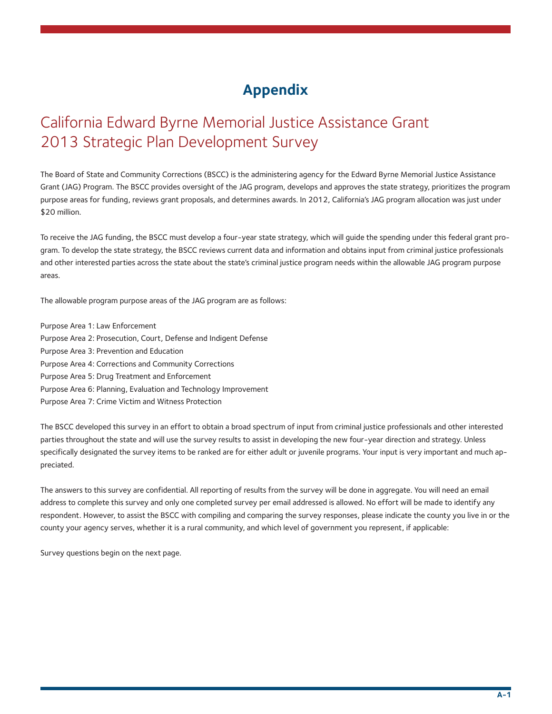# **Appendix**

# California Edward Byrne Memorial Justice Assistance Grant 2013 Strategic Plan Development Survey

The Board of State and Community Corrections (BSCC) is the administering agency for the Edward Byrne Memorial Justice Assistance Grant (JAG) Program. The BSCC provides oversight of the JAG program, develops and approves the state strategy, prioritizes the program purpose areas for funding, reviews grant proposals, and determines awards. In 2012, California's JAG program allocation was just under \$20 million.

To receive the JAG funding, the BSCC must develop a four-year state strategy, which will guide the spending under this federal grant program. To develop the state strategy, the BSCC reviews current data and information and obtains input from criminal justice professionals and other interested parties across the state about the state's criminal justice program needs within the allowable JAG program purpose areas.

The allowable program purpose areas of the JAG program are as follows:

Purpose Area 1: Law Enforcement Purpose Area 2: Prosecution, Court, Defense and Indigent Defense Purpose Area 3: Prevention and Education Purpose Area 4: Corrections and Community Corrections Purpose Area 5: Drug Treatment and Enforcement Purpose Area 6: Planning, Evaluation and Technology Improvement Purpose Area 7: Crime Victim and Witness Protection

The BSCC developed this survey in an effort to obtain a broad spectrum of input from criminal justice professionals and other interested parties throughout the state and will use the survey results to assist in developing the new four-year direction and strategy. Unless specifically designated the survey items to be ranked are for either adult or juvenile programs. Your input is very important and much appreciated.

The answers to this survey are confidential. All reporting of results from the survey will be done in aggregate. You will need an email address to complete this survey and only one completed survey per email addressed is allowed. No effort will be made to identify any respondent. However, to assist the BSCC with compiling and comparing the survey responses, please indicate the county you live in or the county your agency serves, whether it is a rural community, and which level of government you represent, if applicable:

Survey questions begin on the next page.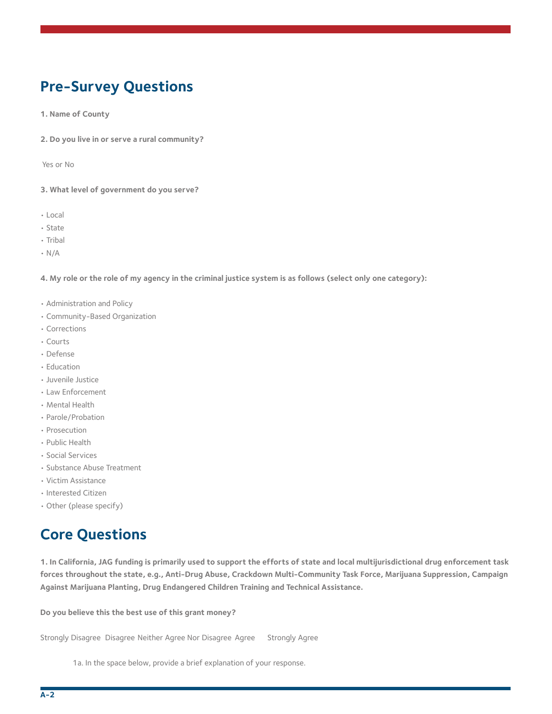# **Pre-Survey Questions**

**1. Name of County**

**2. Do you live in or serve a rural community?**

Yes or No

**3. What level of government do you serve?**

- Local
- State
- Tribal
- N/A

**4. My role or the role of my agency in the criminal justice system is as follows (select only one category):**

- Administration and Policy
- Community-Based Organization
- Corrections
- Courts
- Defense
- Education
- Juvenile Justice
- Law Enforcement
- Mental Health
- Parole/Probation
- Prosecution
- Public Health
- Social Services
- Substance Abuse Treatment
- Victim Assistance
- Interested Citizen
- Other (please specify)

### **Core Questions**

**1. In California, JAG funding is primarily used to support the efforts of state and local multijurisdictional drug enforcement task forces throughout the state, e.g., Anti-Drug Abuse, Crackdown Multi-Community Task Force, Marijuana Suppression, Campaign Against Marijuana Planting, Drug Endangered Children Training and Technical Assistance.**

**Do you believe this the best use of this grant money?** 

Strongly Disagree Disagree Neither Agree Nor Disagree Agree Strongly Agree

1a. In the space below, provide a brief explanation of your response.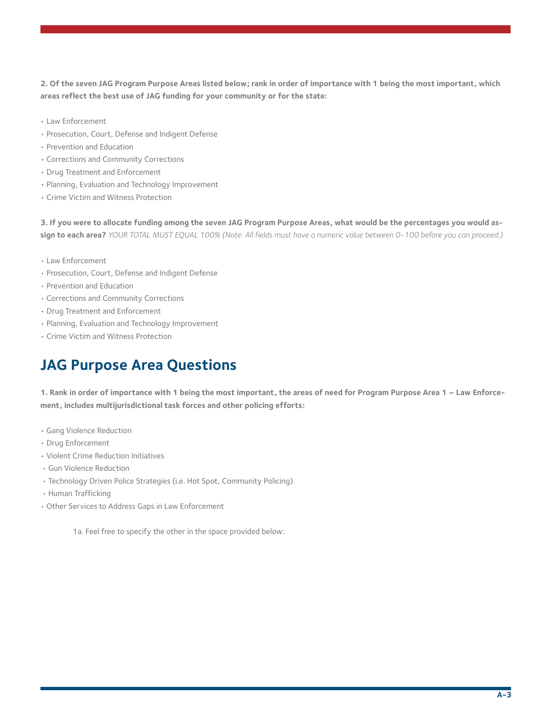**2. Of the seven JAG Program Purpose Areas listed below; rank in order of importance with 1 being the most important, which areas reflect the best use of JAG funding for your community or for the state:**

- Law Enforcement
- Prosecution, Court, Defense and Indigent Defense
- Prevention and Education
- Corrections and Community Corrections
- Drug Treatment and Enforcement
- Planning, Evaluation and Technology Improvement
- Crime Victim and Witness Protection

**3. If you were to allocate funding among the seven JAG Program Purpose Areas, what would be the percentages you would assign to each area?** *YOUR TOTAL MUST EQUAL 100% (Note: All fields must have a numeric value between 0-100 before you can proceed.)*

- Law Enforcement
- Prosecution, Court, Defense and Indigent Defense
- Prevention and Education
- Corrections and Community Corrections
- Drug Treatment and Enforcement
- Planning, Evaluation and Technology Improvement
- Crime Victim and Witness Protection

# **JAG Purpose Area Questions**

**1. Rank in order of importance with 1 being the most important, the areas of need for Program Purpose Area 1 – Law Enforcement, includes multijurisdictional task forces and other policing efforts:**

- Gang Violence Reduction
- Drug Enforcement
- Violent Crime Reduction Initiatives
- Gun Violence Reduction
- Technology Driven Police Strategies (i.e. Hot Spot, Community Policing)
- Human Trafficking
- Other Services to Address Gaps in Law Enforcement

1a. Feel free to specify the other in the space provided below: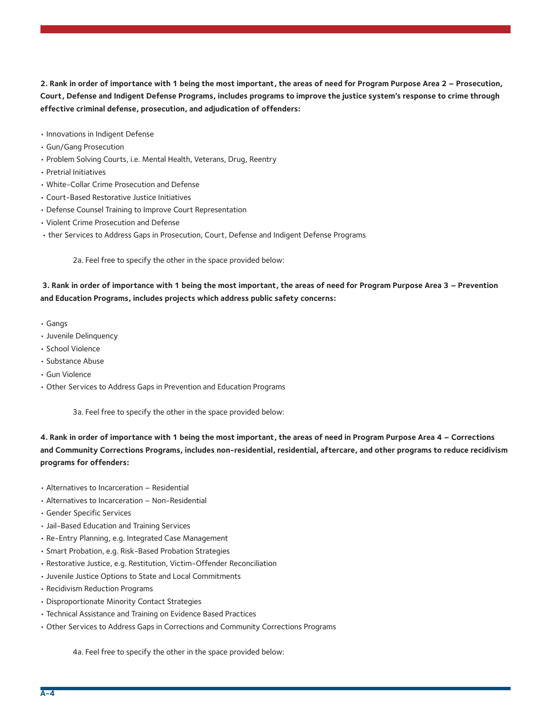**2. Rank in order of importance with 1 being the most important, the areas of need for Program Purpose Area 2 – Prosecution, Court, Defense and Indigent Defense Programs, includes programs to improve the justice system's response to crime through effective criminal defense, prosecution, and adjudication of offenders:**

- Innovations in Indigent Defense
- Gun/Gang Prosecution
- Problem Solving Courts, i.e. Mental Health, Veterans, Drug, Reentry
- Pretrial Initiatives
- White-Collar Crime Prosecution and Defense
- Court-Based Restorative Justice Initiatives
- Defense Counsel Training to Improve Court Representation
- Violent Crime Prosecution and Defense
- ther Services to Address Gaps in Prosecution, Court, Defense and Indigent Defense Programs

2a. Feel free to specify the other in the space provided below:

#### **3. Rank in order of importance with 1 being the most important, the areas of need for Program Purpose Area 3 – Prevention and Education Programs, includes projects which address public safety concerns:**

- Gangs
- Juvenile Delinquency
- School Violence
- Substance Abuse
- Gun Violence
- Other Services to Address Gaps in Prevention and Education Programs

3a. Feel free to specify the other in the space provided below:

**4. Rank in order of importance with 1 being the most important, the areas of need in Program Purpose Area 4 – Corrections and Community Corrections Programs, includes non-residential, residential, aftercare, and other programs to reduce recidivism programs for offenders:**

- Alternatives to Incarceration Residential
- Alternatives to Incarceration Non-Residential
- Gender Specific Services
- Jail-Based Education and Training Services
- Re-Entry Planning, e.g. Integrated Case Management
- Smart Probation, e.g. Risk-Based Probation Strategies
- Restorative Justice, e.g. Restitution, Victim-Offender Reconciliation
- Juvenile Justice Options to State and Local Commitments
- Recidivism Reduction Programs
- Disproportionate Minority Contact Strategies
- Technical Assistance and Training on Evidence Based Practices
- Other Services to Address Gaps in Corrections and Community Corrections Programs

4a. Feel free to specify the other in the space provided below: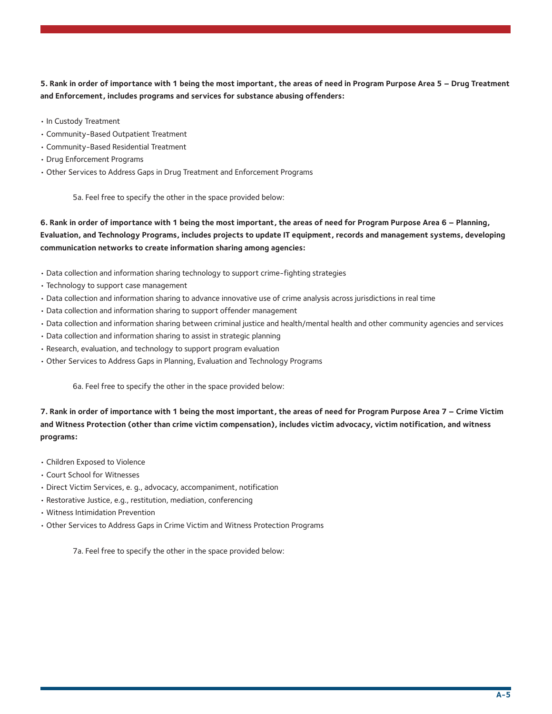**5. Rank in order of importance with 1 being the most important, the areas of need in Program Purpose Area 5 – Drug Treatment and Enforcement, includes programs and services for substance abusing offenders:**

- In Custody Treatment
- Community-Based Outpatient Treatment
- Community-Based Residential Treatment
- Drug Enforcement Programs
- Other Services to Address Gaps in Drug Treatment and Enforcement Programs

5a. Feel free to specify the other in the space provided below:

**6. Rank in order of importance with 1 being the most important, the areas of need for Program Purpose Area 6 – Planning, Evaluation, and Technology Programs, includes projects to update IT equipment, records and management systems, developing communication networks to create information sharing among agencies:**

- Data collection and information sharing technology to support crime-fighting strategies
- Technology to support case management
- Data collection and information sharing to advance innovative use of crime analysis across jurisdictions in real time
- Data collection and information sharing to support offender management
- Data collection and information sharing between criminal justice and health/mental health and other community agencies and services
- Data collection and information sharing to assist in strategic planning
- Research, evaluation, and technology to support program evaluation
- Other Services to Address Gaps in Planning, Evaluation and Technology Programs

6a. Feel free to specify the other in the space provided below:

**7. Rank in order of importance with 1 being the most important, the areas of need for Program Purpose Area 7 – Crime Victim and Witness Protection (other than crime victim compensation), includes victim advocacy, victim notification, and witness programs:**

- Children Exposed to Violence
- Court School for Witnesses
- Direct Victim Services, e. g., advocacy, accompaniment, notification
- Restorative Justice, e.g., restitution, mediation, conferencing
- Witness Intimidation Prevention
- Other Services to Address Gaps in Crime Victim and Witness Protection Programs

7a. Feel free to specify the other in the space provided below: